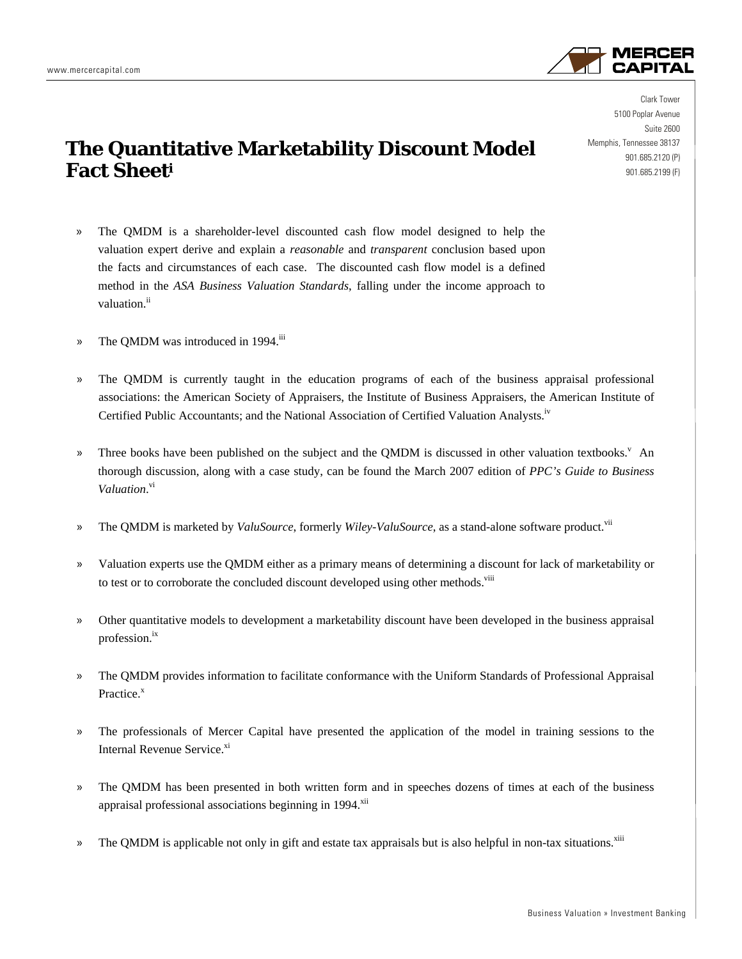

Clark Tower 5100 Poplar Avenue Suite 2600 Memphis, Tennessee 38137 901.685.2120 (P) 901.685.2199 (F)

## **The Quantitative Marketability Discount Model Fact Sheeti**

- » The QMDM is a shareholder-level discounted cash flow model designed to help the valuation expert derive and explain a *reasonable* and *transparent* conclusion based upon the facts and circumstances of each case. The discounted cash flow model is a defined method in the *ASA Business Valuation Standards*, falling under the income approach to valuation.<sup>ii</sup>
- » The QMDM was introduced in 1994.iii
- » The QMDM is currently taught in the education programs of each of the business appraisal professional associations: the American Society of Appraisers, the Institute of Business Appraisers, the American Institute of Certified Public Accountants; and the National Association of Certified Valuation Analysts.<sup>iv</sup>
- » Three books have been published on the subject and the QMDM is discussed in other valuation textbooks.<sup>V</sup> An thorough discussion, along with a case study, can be found the March 2007 edition of *PPC's Guide to Business Valuation*. vi
- » The QMDM is marketed by *ValuSource*, formerly *Wiley-ValuSource*, as a stand-alone software product.<sup>vii</sup>
- » Valuation experts use the QMDM either as a primary means of determining a discount for lack of marketability or to test or to corroborate the concluded discount developed using other methods.<sup>viii</sup>
- » Other quantitative models to development a marketability discount have been developed in the business appraisal profession.<sup>ix</sup>
- » The QMDM provides information to facilitate conformance with the Uniform Standards of Professional Appraisal Practice.<sup>x</sup>
- » The professionals of Mercer Capital have presented the application of the model in training sessions to the Internal Revenue Service.<sup>xi</sup>
- » The QMDM has been presented in both written form and in speeches dozens of times at each of the business appraisal professional associations beginning in 1994.<sup>xii</sup>
- » The QMDM is applicable not only in gift and estate tax appraisals but is also helpful in non-tax situations.<sup>xiii</sup>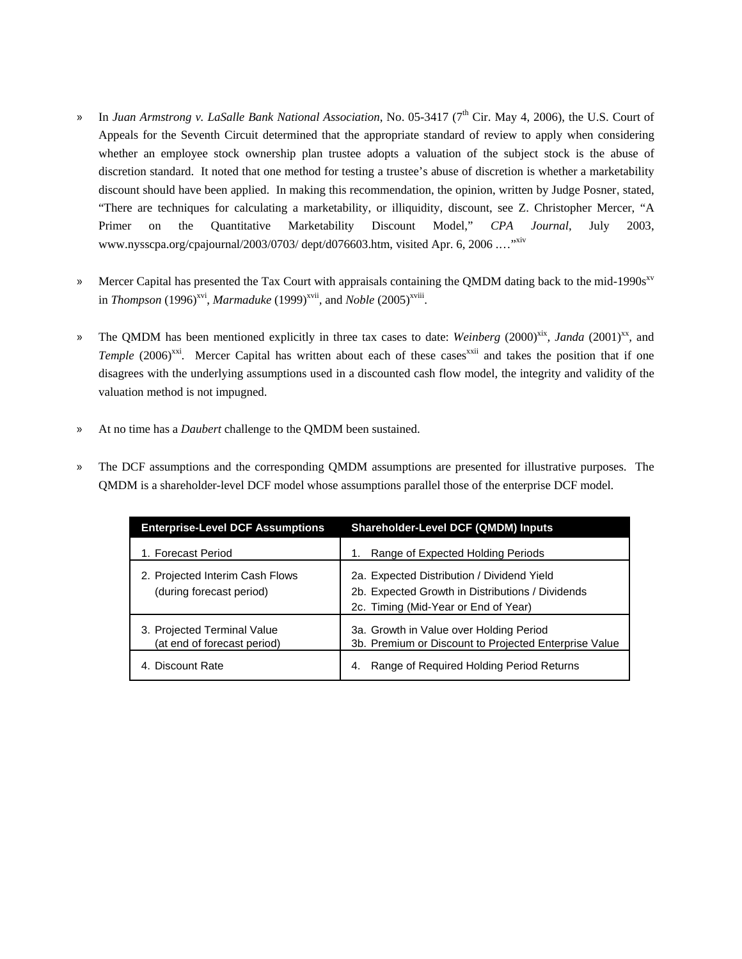- » In *Juan Armstrong v. LaSalle Bank National Association*, No. 05-3417 (7th Cir. May 4, 2006), the U.S. Court of Appeals for the Seventh Circuit determined that the appropriate standard of review to apply when considering whether an employee stock ownership plan trustee adopts a valuation of the subject stock is the abuse of discretion standard. It noted that one method for testing a trustee's abuse of discretion is whether a marketability discount should have been applied. In making this recommendation, the opinion, written by Judge Posner, stated, "There are techniques for calculating a marketability, or illiquidity, discount, see Z. Christopher Mercer, "A Primer on the Quantitative Marketability Discount Model," *CPA Journal*, July 2003, www.nysscpa.org/cpajournal/2003/0703/ dept/d076603.htm, visited Apr. 6, 2006 ...."xiv
- » Mercer Capital has presented the Tax Court with appraisals containing the QMDM dating back to the mid-1990s<sup>xv</sup> in *Thompson* (1996)<sup>xvi</sup>, *Marmaduke* (1999)<sup>xvii</sup>, and *Noble* (2005)<sup>xviii</sup>.
- » The QMDM has been mentioned explicitly in three tax cases to date: *Weinberg* (2000)<sup>xix</sup>, *Janda* (2001)<sup>xx</sup>, and *Temple* (2006)<sup>xxi</sup>. Mercer Capital has written about each of these cases<sup>xxii</sup> and takes the position that if one disagrees with the underlying assumptions used in a discounted cash flow model, the integrity and validity of the valuation method is not impugned.
- » At no time has a *Daubert* challenge to the QMDM been sustained.
- » The DCF assumptions and the corresponding QMDM assumptions are presented for illustrative purposes. The QMDM is a shareholder-level DCF model whose assumptions parallel those of the enterprise DCF model.

| <b>Enterprise-Level DCF Assumptions</b>                     | <b>Shareholder-Level DCF (QMDM) Inputs</b>                                                                                             |
|-------------------------------------------------------------|----------------------------------------------------------------------------------------------------------------------------------------|
| 1. Forecast Period                                          | Range of Expected Holding Periods                                                                                                      |
| 2. Projected Interim Cash Flows<br>(during forecast period) | 2a. Expected Distribution / Dividend Yield<br>2b. Expected Growth in Distributions / Dividends<br>2c. Timing (Mid-Year or End of Year) |
| 3. Projected Terminal Value<br>(at end of forecast period)  | 3a. Growth in Value over Holding Period<br>3b. Premium or Discount to Projected Enterprise Value                                       |
| 4. Discount Rate                                            | Range of Required Holding Period Returns<br>4.                                                                                         |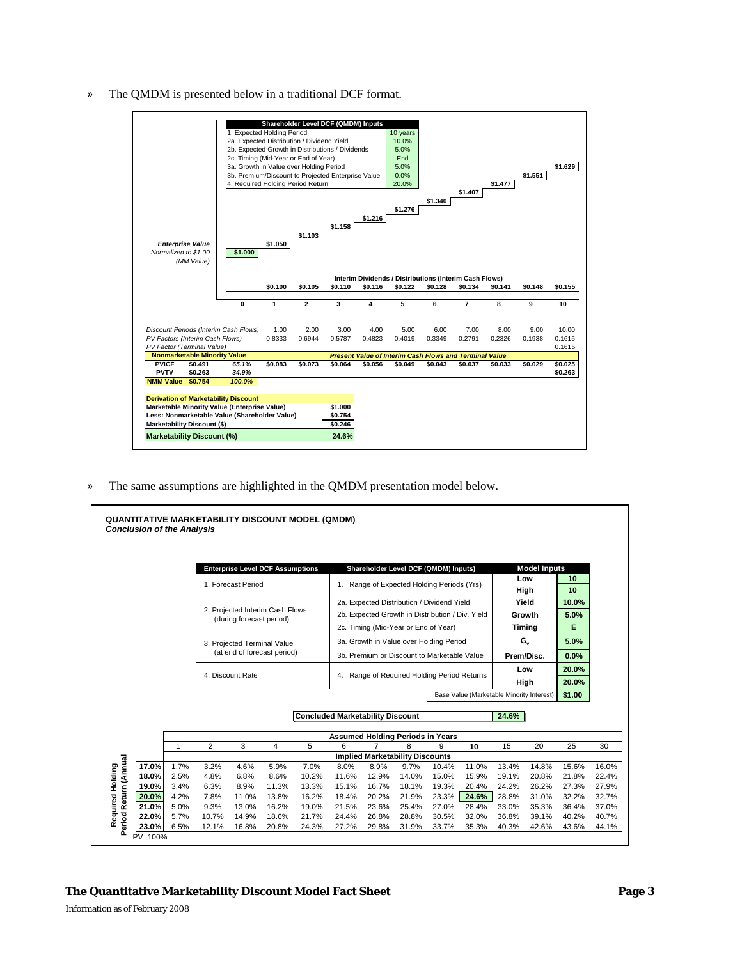» The QMDM is presented below in a traditional DCF format.



» The same assumptions are highlighted in the QMDM presentation model below.

|                |              |                                                             |                    | <b>Enterprise Level DCF Assumptions</b> |                                             |                                                  |                                             |                                        | Shareholder Level DCF (QMDM) Inputs) |                                           |                | <b>Model Inputs</b> |                 |                                                    |
|----------------|--------------|-------------------------------------------------------------|--------------------|-----------------------------------------|---------------------------------------------|--------------------------------------------------|---------------------------------------------|----------------------------------------|--------------------------------------|-------------------------------------------|----------------|---------------------|-----------------|----------------------------------------------------|
|                |              |                                                             | 1. Forecast Period |                                         |                                             | 1. Range of Expected Holding Periods (Yrs)       |                                             |                                        |                                      |                                           | Low            |                     | 10 <sup>1</sup> |                                                    |
|                |              |                                                             |                    |                                         |                                             |                                                  |                                             |                                        |                                      |                                           | High           |                     | 10              |                                                    |
|                |              |                                                             |                    |                                         |                                             | 2a. Expected Distribution / Dividend Yield       |                                             |                                        |                                      |                                           | Yield          |                     | 10.0%           |                                                    |
|                |              | 2. Projected Interim Cash Flows<br>(during forecast period) |                    |                                         |                                             | 2b. Expected Growth in Distribution / Div. Yield |                                             |                                        |                                      |                                           | Growth         |                     | 5.0%            |                                                    |
|                |              |                                                             |                    |                                         |                                             | 2c. Timing (Mid-Year or End of Year)             |                                             |                                        |                                      |                                           | <b>Timing</b>  |                     | F               |                                                    |
|                |              | 3. Projected Terminal Value                                 |                    |                                         |                                             |                                                  | 3a. Growth in Value over Holding Period     |                                        |                                      |                                           |                | G.                  |                 |                                                    |
|                |              | (at end of forecast period)                                 |                    |                                         | 3b. Premium or Discount to Marketable Value |                                                  |                                             |                                        | Prem/Disc.                           |                                           | 0.0%           |                     |                 |                                                    |
|                |              |                                                             |                    |                                         |                                             |                                                  |                                             |                                        |                                      |                                           | Low            |                     | 20.0%           |                                                    |
|                |              | 4. Discount Rate                                            |                    |                                         |                                             |                                                  | 4. Range of Required Holding Period Returns |                                        |                                      | High                                      |                | 20.0%               |                 |                                                    |
|                |              |                                                             |                    |                                         |                                             |                                                  |                                             |                                        |                                      | Base Value (Marketable Minority Interest) |                | \$1.00              |                 |                                                    |
|                |              |                                                             |                    |                                         |                                             |                                                  |                                             |                                        |                                      |                                           |                |                     |                 |                                                    |
|                |              |                                                             |                    |                                         | <b>Concluded Marketability Discount</b>     |                                                  |                                             |                                        |                                      |                                           | 24.6%          |                     |                 |                                                    |
|                |              |                                                             |                    |                                         |                                             |                                                  |                                             |                                        |                                      |                                           |                |                     |                 |                                                    |
|                | 1            | $\overline{2}$                                              | 3                  | $\overline{4}$                          | 5                                           | <b>Assumed Holding Periods in Years</b><br>6     | $\overline{7}$                              | 8                                      | 9                                    | 10                                        | 15             | 20                  | 25              |                                                    |
|                |              |                                                             |                    |                                         |                                             |                                                  |                                             | <b>Implied Marketability Discounts</b> |                                      |                                           |                |                     |                 | 30                                                 |
| 17.0%          | 1.7%         | 3.2%                                                        | 4.6%               | 5.9%                                    | 7.0%                                        | 8.0%                                             | 8.9%                                        | 9.7%                                   | 10.4%                                | 11.0%                                     | 13.4%          | 14.8%               | 15.6%           | 16.0%                                              |
| 18.0%          | 2.5%         | 4.8%                                                        | 6.8%               | 8.6%                                    | 10.2%                                       | 11.6%                                            | 12.9%                                       | 14.0%                                  | 15.0%                                | 15.9%                                     | 19.1%          | 20.8%               | 21.8%           |                                                    |
| 19.0%          | 3.4%         | 6.3%                                                        | 8.9%               | 11.3%                                   | 13.3%                                       | 15.1%                                            | 16.7%                                       | 18.1%                                  | 19.3%                                | 20.4%                                     | 24.2%          | 26.2%               | 27.3%           |                                                    |
| 20.0%          | 4.2%         | 7.8%                                                        | 11.0%              | 13.8%                                   | 16.2%                                       | 18.4%                                            | 20.2%                                       | 21.9%                                  | 23.3%                                | 24.6%                                     | 28.8%          | 31.0%               | 32.2%           |                                                    |
| 21.0%          | 5.0%         | 9.3%                                                        | 13.0%              | 16.2%                                   | 19.0%                                       | 21.5%                                            | 23.6%                                       | 25.4%                                  | 27.0%                                | 28.4%                                     | 33.0%          | 35.3%               | 36.4%           |                                                    |
| 22.0%<br>23.0% | 5.7%<br>6.5% | 10.7%<br>12.1%                                              | 14.9%<br>16.8%     | 18.6%<br>20.8%                          | 21.7%<br>24.3%                              | 24.4%<br>27.2%                                   | 26.8%<br>29.8%                              | 28.8%<br>31.9%                         | 30.5%<br>33.7%                       | 32.0%<br>35.3%                            | 36.8%<br>40.3% | 39.1%<br>42.6%      | 40.2%<br>43.6%  | 22.4%<br>27.9%<br>32.7%<br>37.0%<br>40.7%<br>44.1% |

## **The Quantitative Marketability Discount Model Fact Sheet Page 3**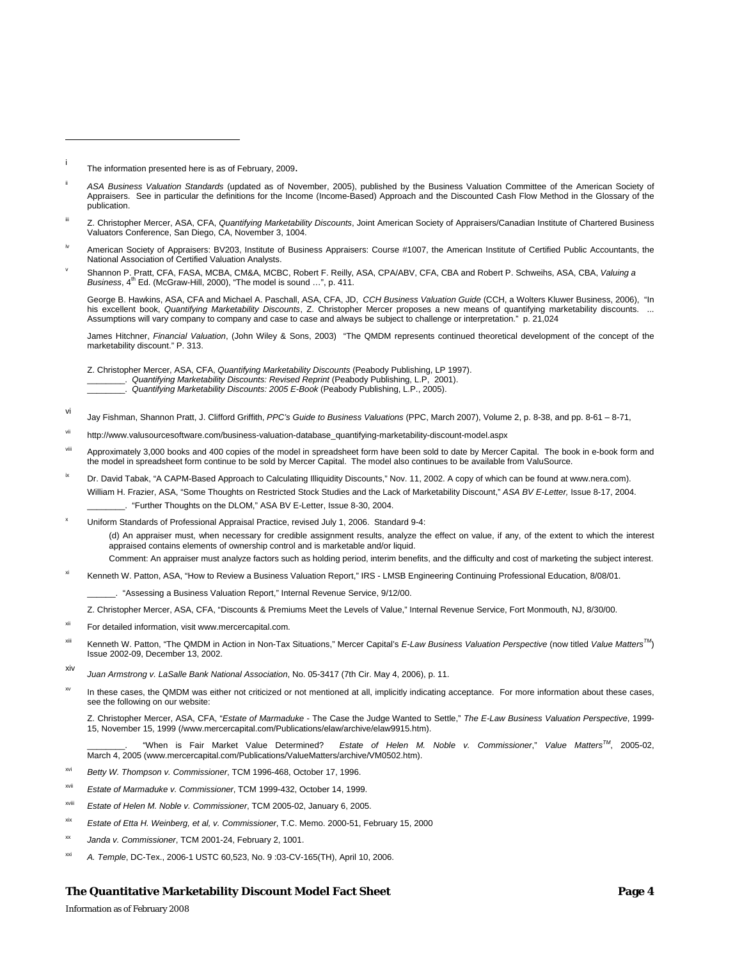l

vi

- ii *ASA Business Valuation Standards* (updated as of November, 2005), published by the Business Valuation Committee of the American Society of Appraisers. See in particular the definitions for the Income (Income-Based) Approach and the Discounted Cash Flow Method in the Glossary of the publication.
- Z. Christopher Mercer, ASA, CFA, *Quantifying Marketability Discounts*, Joint American Society of Appraisers/Canadian Institute of Chartered Business Valuators Conference, San Diego, CA, November 3, 1004.
- American Society of Appraisers: BV203, Institute of Business Appraisers: Course #1007, the American Institute of Certified Public Accountants, the National Association of Certified Valuation Analysts.
- v Shannon P. Pratt, CFA, FASA, MCBA, CM&A, MCBC, Robert F. Reilly, ASA, CPA/ABV, CFA, CBA and Robert P. Schweihs, ASA, CBA, *Valuing a Business*,  $4^{th}$  Ed. (McGraw-Hill, 2000), "The model is sound ...", p. 411.

George B. Hawkins, ASA, CFA and Michael A. Paschall, ASA, CFA, JD, *CCH Business Valuation Guide* (CCH, a Wolters Kluwer Business, 2006), "In his excellent book, *Quantifying Marketability Discounts*, Z. Christopher Mercer proposes a new means of quantifying marketability discounts. ... Assumptions will vary company to company and case to case and always be subject to challenge or interpretation." p. 21,024

 James Hitchner, *Financial Valuation*, (John Wiley & Sons, 2003) "The QMDM represents continued theoretical development of the concept of the marketability discount." P. 313.

Z. Christopher Mercer, ASA, CFA, *Quantifying Marketability Discounts* (Peabody Publishing, LP 1997).

\_\_\_\_\_\_\_\_. *Quantifying Marketability Discounts: Revised Reprint* (Peabody Publishing, L.P, 2001).

\_\_\_\_\_\_\_\_. *Quantifying Marketability Discounts: 2005 E-Book* (Peabody Publishing, L.P., 2005).

Jay Fishman, Shannon Pratt, J. Clifford Griffith, *PPC's Guide to Business Valuations* (PPC, March 2007), Volume 2, p. 8-38, and pp. 8-61 – 8-71,

- http://www.valusourcesoftware.com/business-valuation-database\_quantifying-marketability-discount-model.aspx
- viii Approximately 3,000 books and 400 copies of the model in spreadsheet form have been sold to date by Mercer Capital. The book in e-book form and the model in spreadsheet form continue to be sold by Mercer Capital. The model also continues to be available from ValuSource.
- Dr. David Tabak, "A CAPM-Based Approach to Calculating Illiquidity Discounts," Nov. 11, 2002. A copy of which can be found at www.nera.com). William H. Frazier, ASA, "Some Thoughts on Restricted Stock Studies and the Lack of Marketability Discount," *ASA BV E-Letter,* Issue 8-17, 2004. \_\_\_\_\_\_\_\_. "Further Thoughts on the DLOM," ASA BV E-Letter, Issue 8-30, 2004.
- x Uniform Standards of Professional Appraisal Practice, revised July 1, 2006. Standard 9-4: (d) An appraiser must, when necessary for credible assignment results, analyze the effect on value, if any, of the extent to which the interest appraised contains elements of ownership control and is marketable and/or liquid. Comment: An appraiser must analyze factors such as holding period, interim benefits, and the difficulty and cost of marketing the subject interest.

Kenneth W. Patton, ASA, "How to Review a Business Valuation Report," IRS - LMSB Engineering Continuing Professional Education, 8/08/01.

\_\_\_\_\_\_. "Assessing a Business Valuation Report," Internal Revenue Service, 9/12/00.

Z. Christopher Mercer, ASA, CFA, "Discounts & Premiums Meet the Levels of Value," Internal Revenue Service, Fort Monmouth, NJ, 8/30/00.

- For detailed information, visit www.mercercapital.com.
- xiii Kenneth W. Patton, "The QMDM in Action in Non-Tax Situations," Mercer Capital's *E-Law Business Valuation Perspective* (now titled *Value MattersTM*) Issue 2002-09, December 13, 2002.
- xiv *Juan Armstrong v. LaSalle Bank National Association*, No. 05-3417 (7th Cir. May 4, 2006), p. 11.
- In these cases, the QMDM was either not criticized or not mentioned at all, implicitly indicating acceptance. For more information about these cases, see the following on our website:

 Z. Christopher Mercer, ASA, CFA, "*Estate of Marmaduke* - The Case the Judge Wanted to Settle," *The E-Law Business Valuation Perspective*, 1999- 15, November 15, 1999 (/www.mercercapital.com/Publications/elaw/archive/elaw9915.htm).

 \_\_\_\_\_\_\_\_. "When is Fair Market Value Determined? *Estate of Helen M. Noble v. Commissioner*," *Value MattersTM*, 2005-02, March 4, 2005 (www.mercercapital.com/Publications/ValueMatters/archive/VM0502.htm).

- Betty W. Thompson v. Commissioner, TCM 1996-468, October 17, 1996.
- Estate of Marmaduke v. Commissioner, TCM 1999-432, October 14, 1999.
- Estate of Helen M. Noble v. Commissioner, TCM 2005-02, January 6, 2005.
- xix *Estate of Etta H. Weinberg, et al, v. Commissioner*, T.C. Memo. 2000-51, February 15, 2000
- Janda v. Commissioner, TCM 2001-24, February 2, 1001.
- xxi *A. Temple*, DC-Tex., 2006-1 USTC 60,523, No. 9 :03-CV-165(TH), April 10, 2006.

## **The Quantitative Marketability Discount Model Fact Sheet Page 4**

i The information presented here is as of February, 2009.